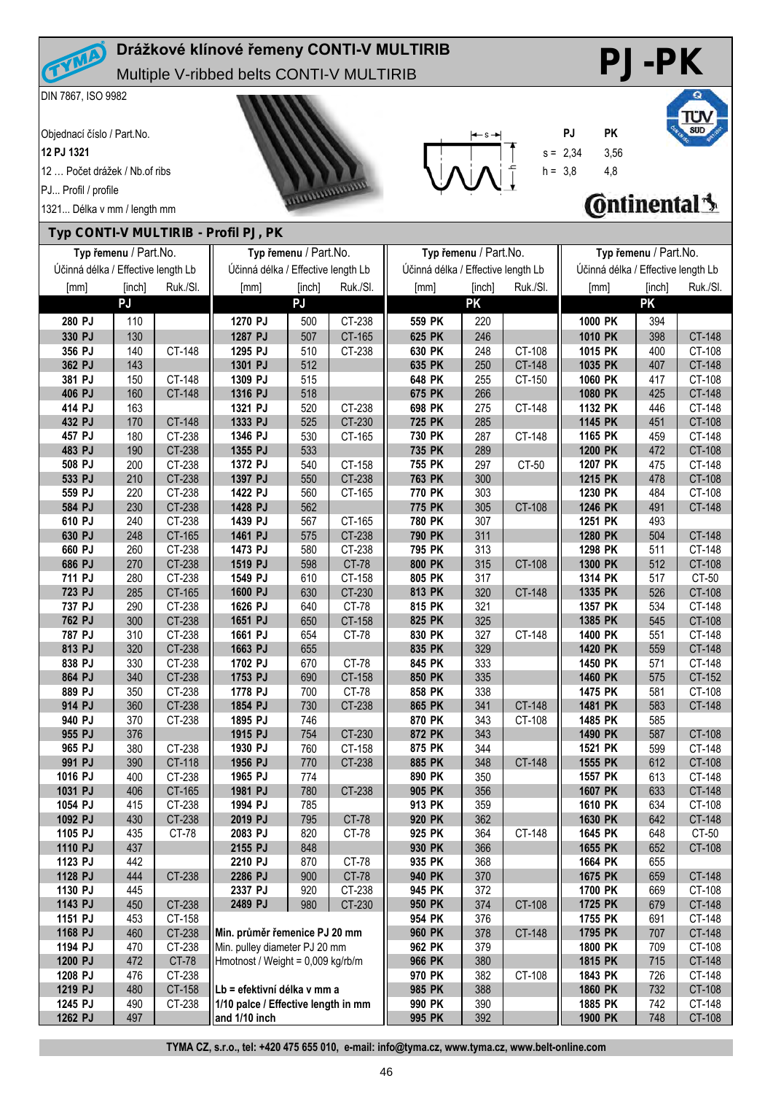

## **Drážkové klínové řemeny CONTI-V MULTIRIB** Multiple V-ribbed belts CONTI-V MULTIRIB

DIN 7867, ISO 9982

**PJ-PK**

Objednací číslo / Part.No. **PH PK PH PK PH PK PH PK 12 PJ 1321** s = 2,34 3,56 12 … Počet drážek / Nb.of ribs h = 3,8 4,8 PJ... Profil / profile **Continental** 1321... Délka v mm / length mm  **Typ CONTI-V MULTIRIB - Profil PJ, PK**

| ו אין איטויז ייטווורט, רא          |            |                                    |                                     |            |                                    |                       |            |                                    |                    |            |                  |
|------------------------------------|------------|------------------------------------|-------------------------------------|------------|------------------------------------|-----------------------|------------|------------------------------------|--------------------|------------|------------------|
| Typ řemenu / Part.No.              |            | Typ řemenu / Part.No.              |                                     |            |                                    | Typ řemenu / Part.No. |            | Typ řemenu / Part.No.              |                    |            |                  |
| Účinná délka / Effective length Lb |            | Účinná délka / Effective length Lb |                                     |            | Účinná délka / Effective length Lb |                       |            | Účinná délka / Effective length Lb |                    |            |                  |
| [mm]                               | [inch]     | Ruk./SI.                           | [mm]                                | [inch]     | Ruk./SI.                           | [mm]                  | [inch]     | Ruk./SI.                           | [mm]               | [inch]     | Ruk./SI.         |
|                                    | PJ         |                                    |                                     | PJ         |                                    |                       | <b>PK</b>  |                                    |                    | <b>PK</b>  |                  |
| 280 PJ                             | 110        |                                    | 1270 PJ                             | 500        | CT-238                             | 559 PK                | 220        |                                    | 1000 PK            | 394        |                  |
| 330 PJ                             | 130        |                                    | 1287 PJ                             | 507        | CT-165                             | 625 PK                | 246        |                                    | 1010 PK            | 398        | CT-148           |
| 356 PJ                             | 140        | CT-148                             | 1295 PJ                             | 510        | CT-238                             | 630 PK                | 248        | CT-108                             | 1015 PK            | 400        | CT-108           |
| 362 PJ                             | 143        |                                    | 1301 PJ                             | 512        |                                    | 635 PK                | 250        | CT-148                             | 1035 PK            | 407        | CT-148           |
| 381 PJ                             | 150        | CT-148                             | 1309 PJ                             | 515        |                                    | 648 PK                | 255        | CT-150                             | 1060 PK            | 417        | CT-108           |
| 406 PJ                             | 160        | CT-148                             | 1316 PJ                             | 518        |                                    | 675 PK                | 266        |                                    | 1080 PK            | 425        | CT-148           |
| 414 PJ                             | 163        |                                    | 1321 PJ                             | 520        | CT-238                             | 698 PK                | 275        | CT-148                             | 1132 PK            | 446        | CT-148           |
| 432 PJ                             | 170        | CT-148                             | 1333 PJ                             | 525        | CT-230                             | 725 PK                | 285        |                                    | 1145 PK            | 451        | CT-108           |
| 457 PJ                             | 180        | CT-238                             | 1346 PJ                             | 530        | CT-165                             | 730 PK                | 287        | CT-148                             | 1165 PK            | 459        | CT-148           |
| 483 PJ                             | 190        | CT-238                             | 1355 PJ                             | 533        |                                    | 735 PK                | 289        |                                    | 1200 PK            | 472        | CT-108           |
| 508 PJ                             | 200        | CT-238                             | 1372 PJ                             | 540        | CT-158                             | 755 PK                | 297        | CT-50                              | 1207 PK            | 475        | CT-148           |
| 533 PJ                             | 210        | CT-238                             | 1397 PJ                             | 550        | CT-238                             | 763 PK                | 300        |                                    | 1215 PK            | 478        | CT-108           |
| 559 PJ                             | 220        | CT-238                             | 1422 PJ                             | 560        | CT-165                             | 770 PK                | 303        |                                    | 1230 PK            | 484        | CT-108           |
| 584 PJ                             | 230        | CT-238                             | 1428 PJ                             | 562        |                                    | 775 PK                | 305        | CT-108                             | 1246 PK            | 491        | CT-148           |
| 610 PJ                             | 240        | CT-238                             | 1439 PJ                             | 567        | CT-165                             | 780 PK                | 307        |                                    | 1251 PK            | 493        |                  |
| 630 PJ<br>660 PJ                   | 248        | CT-165                             | 1461 PJ<br>1473 PJ                  | 575        | CT-238                             | 790 PK<br>795 PK      | 311        |                                    | 1280 PK<br>1298 PK | 504        | CT-148           |
| 686 PJ                             | 260        | CT-238<br>CT-238                   | 1519 PJ                             | 580<br>598 | CT-238<br>CT-78                    | 800 PK                | 313<br>315 | CT-108                             | 1300 PK            | 511<br>512 | CT-148<br>CT-108 |
| 711 PJ                             | 270<br>280 | CT-238                             | 1549 PJ                             | 610        | CT-158                             | 805 PK                | 317        |                                    | 1314 PK            | 517        | CT-50            |
| 723 PJ                             | 285        | CT-165                             | 1600 PJ                             | 630        | CT-230                             | 813 PK                | 320        | CT-148                             | 1335 PK            | 526        | CT-108           |
| 737 PJ                             | 290        | CT-238                             | 1626 PJ                             | 640        | CT-78                              | 815 PK                | 321        |                                    | 1357 PK            | 534        | CT-148           |
| 762 PJ                             | 300        | CT-238                             | 1651 PJ                             | 650        | CT-158                             | 825 PK                | 325        |                                    | 1385 PK            | 545        | CT-108           |
| 787 PJ                             | 310        | CT-238                             | 1661 PJ                             | 654        | CT-78                              | 830 PK                | 327        | CT-148                             | 1400 PK            | 551        | CT-148           |
| 813 PJ                             | 320        | CT-238                             | 1663 PJ                             | 655        |                                    | 835 PK                | 329        |                                    | 1420 PK            | 559        | CT-148           |
| 838 PJ                             | 330        | CT-238                             | 1702 PJ                             | 670        | CT-78                              | 845 PK                | 333        |                                    | 1450 PK            | 571        | CT-148           |
| 864 PJ                             | 340        | CT-238                             | 1753 PJ                             | 690        | CT-158                             | 850 PK                | 335        |                                    | 1460 PK            | 575        | CT-152           |
| 889 PJ                             | 350        | CT-238                             | 1778 PJ                             | 700        | CT-78                              | 858 PK                | 338        |                                    | 1475 PK            | 581        | CT-108           |
| 914 PJ                             | 360        | CT-238                             | 1854 PJ                             | 730        | CT-238                             | 865 PK                | 341        | CT-148                             | 1481 PK            | 583        | CT-148           |
| 940 PJ                             | 370        | CT-238                             | 1895 PJ                             | 746        |                                    | 870 PK                | 343        | CT-108                             | 1485 PK            | 585        |                  |
| 955 PJ                             | 376        |                                    | 1915 PJ                             | 754        | CT-230                             | 872 PK                | 343        |                                    | 1490 PK            | 587        | CT-108           |
| 965 PJ                             | 380        | CT-238                             | 1930 PJ                             | 760        | CT-158                             | 875 PK                | 344        |                                    | 1521 PK            | 599        | CT-148           |
| 991 PJ                             | 390        | CT-118                             | 1956 PJ                             | 770        | CT-238                             | 885 PK                | 348        | CT-148                             | 1555 PK            | 612        | CT-108           |
| 1016 PJ                            | 400        | CT-238                             | 1965 PJ                             | 774        |                                    | 890 PK                | 350        |                                    | 1557 PK            | 613        | CT-148           |
| 1031 PJ                            | 406        | CT-165                             | 1981 PJ                             | 780        | CT-238                             | 905 PK                | 356        |                                    | 1607 PK            | 633        | CT-148           |
| 1054 PJ<br>1092 PJ                 | 415<br>430 | CT-238<br>CT-238                   | 1994 PJ<br>2019 PJ                  | 785<br>795 | CT-78                              | 913 PK<br>920 PK      | 359<br>362 |                                    | 1610 PK<br>1630 PK | 634<br>642 | CT-108<br>CT-148 |
| 1105 PJ                            | 435        | CT-78                              | 2083 PJ                             | 820        | CT-78                              | 925 PK                | 364        | CT-148                             | 1645 PK            | 648        | CT-50            |
| 1110 PJ                            | 437        |                                    | 2155 PJ                             | 848        |                                    | 930 PK                | 366        |                                    | 1655 PK            | 652        | CT-108           |
| 1123 PJ                            | 442        |                                    | 2210 PJ                             | 870        | CT-78                              | 935 PK                | 368        |                                    | 1664 PK            | 655        |                  |
| 1128 PJ                            | 444        | CT-238                             | 2286 PJ                             | 900        | <b>CT-78</b>                       | 940 PK                | 370        |                                    | 1675 PK            | 659        | CT-148           |
| 1130 PJ                            | 445        |                                    | 2337 PJ                             | 920        | CT-238                             | 945 PK                | 372        |                                    | 1700 PK            | 669        | CT-108           |
| 1143 PJ                            | 450        | CT-238                             | 2489 PJ                             | 980        | CT-230                             | 950 PK                | 374        | CT-108                             | 1725 PK            | 679        | CT-148           |
| 1151 PJ                            | 453        | CT-158                             |                                     |            |                                    | 954 PK                | 376        |                                    | 1755 PK            | 691        | CT-148           |
| 1168 PJ                            | 460        | CT-238                             | Min. průměr řemenice PJ 20 mm       |            |                                    | 960 PK                | 378        | CT-148                             | 1795 PK            | 707        | CT-148           |
| 1194 PJ                            | 470        | CT-238                             | Min. pulley diameter PJ 20 mm       |            |                                    | 962 PK                | 379        |                                    | 1800 PK            | 709        | CT-108           |
| 1200 PJ                            | 472        | CT-78                              | Hmotnost / Weight = 0,009 kg/rb/m   |            |                                    | 966 PK                | 380        |                                    | 1815 PK            | 715        | CT-148           |
| 1208 PJ                            | 476        | CT-238                             |                                     |            |                                    | 970 PK                | 382        | CT-108                             | 1843 PK            | 726        | CT-148           |
| 1219 PJ                            | 480        | CT-158                             | Lb = efektivní délka v mm a         |            |                                    | 985 PK                | 388        |                                    | 1860 PK            | 732        | CT-108           |
| 1245 PJ                            | 490        | CT-238                             | 1/10 palce / Effective length in mm |            |                                    | 990 PK                | 390        |                                    | 1885 PK            | 742        | CT-148           |
| 1262 PJ                            | 497        |                                    | and 1/10 inch                       |            |                                    | 995 PK                | 392        |                                    | 1900 PK            | 748        | CT-108           |

**TYMA CZ, s.r.o., tel: +420 475 655 010, e-mail: info@tyma.cz, www.tyma.cz, www.belt-online.com**